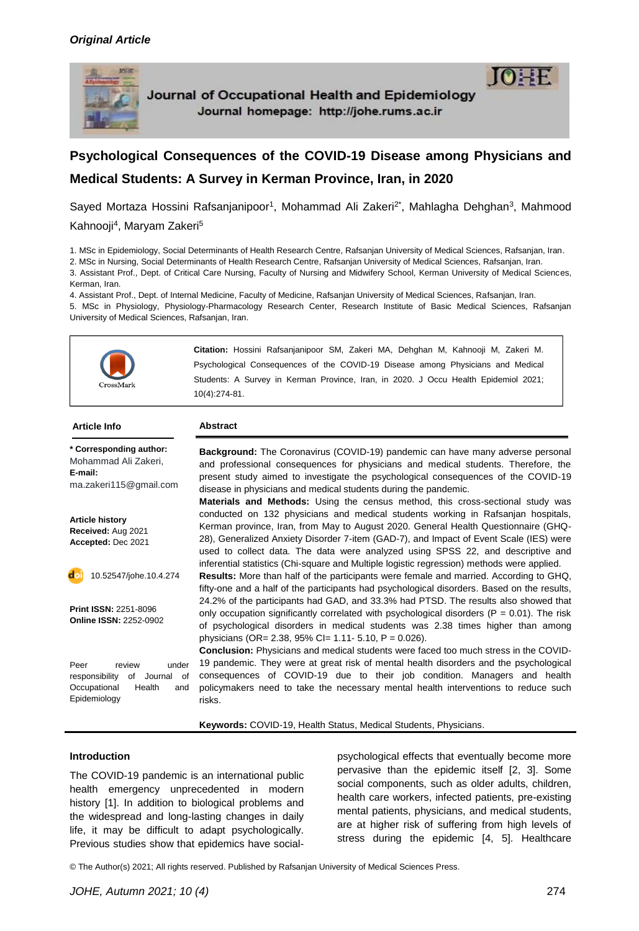

Journal of Occupational Health and Epidemiology Journal homepage: http://johe.rums.ac.ir

# **Psychological Consequences of the COVID-19 Disease among Physicians and Medical Students: A Survey in Kerman Province, Iran, in 2020**

Sayed Mortaza Hossini Rafsanjanipoor<sup>1</sup>, Mohammad Ali Zakeri<sup>2\*</sup>, Mahlagha Dehghan<sup>3</sup>, Mahmood Kahnooji<sup>4</sup>, Maryam Zakeri<sup>5</sup>

1. MSc in Epidemiology, Social Determinants of Health Research Centre, Rafsanjan University of Medical Sciences, Rafsanjan, Iran.

2. MSc in Nursing, Social Determinants of Health Research Centre, Rafsanjan University of Medical Sciences, Rafsanjan, Iran.

3. Assistant Prof., Dept. of Critical Care Nursing, Faculty of Nursing and Midwifery School, Kerman University of Medical Sciences, Kerman, Iran.

4. Assistant Prof., Dept. of Internal Medicine, Faculty of Medicine, Rafsanjan University of Medical Sciences, Rafsanjan, Iran. 5. MSc in Physiology, Physiology-Pharmacology Research Center, Research Institute of Basic Medical Sciences, Rafsanjan University of Medical Sciences, Rafsanjan, Iran.



**\* Corresponding author:** Mohammad Ali Zakeri, **E-mail:** ma.zakeri115@gmail.com

**Article history Received:** Aug 2021 **Accepted:** Dec 2021

10.52547/johe.10.4.274

**Print ISSN:** 2251-8096 **Online ISSN:** 2252-0902

Peer review under responsibility of Journal of Occupational Health and Epidemiology

**Background:** The Coronavirus (COVID-19) pandemic can have many adverse personal and professional consequences for physicians and medical students. Therefore, the present study aimed to investigate the psychological consequences of the COVID-19 disease in physicians and medical students during the pandemic.

**Materials and Methods:** Using the census method, this cross-sectional study was conducted on 132 physicians and medical students working in Rafsanjan hospitals, Kerman province, Iran, from May to August 2020. General Health Questionnaire (GHQ-28), Generalized Anxiety Disorder 7-item (GAD-7), and Impact of Event Scale (IES) were used to collect data. The data were analyzed using SPSS 22, and descriptive and inferential statistics (Chi-square and Multiple logistic regression) methods were applied.

**Results:** More than half of the participants were female and married. According to GHQ, fifty-one and a half of the participants had psychological disorders. Based on the results, 24.2% of the participants had GAD, and 33.3% had PTSD. The results also showed that only occupation significantly correlated with psychological disorders ( $P = 0.01$ ). The risk of psychological disorders in medical students was 2.38 times higher than among physicians (OR= 2.38, 95% CI= 1.11- 5.10, P = 0.026).

**Conclusion:** Physicians and medical students were faced too much stress in the COVID-19 pandemic. They were at great risk of mental health disorders and the psychological consequences of COVID-19 due to their job condition. Managers and health policymakers need to take the necessary mental health interventions to reduce such risks.

**Keywords:** COVID-19, Health Status, Medical Students, Physicians.

#### **Introduction**

The COVID-19 pandemic is an international public health emergency unprecedented in modern history [\[1\]](#page-5-0). In addition to biological problems and the widespread and long-lasting changes in daily life, it may be difficult to adapt psychologically. Previous studies show that epidemics have social-

psychological effects that eventually become more pervasive than the epidemic itself [\[2,](#page-5-1) [3\]](#page-5-2). Some social components, such as older adults, children, health care workers, infected patients, pre-existing mental patients, physicians, and medical students, are at higher risk of suffering from high levels of stress during the epidemic [\[4,](#page-5-3) [5\]](#page-5-4). Healthcare

© The Author(s) 2021; All rights reserved. Published by Rafsanjan University of Medical Sciences Press.

 $10 \pm F$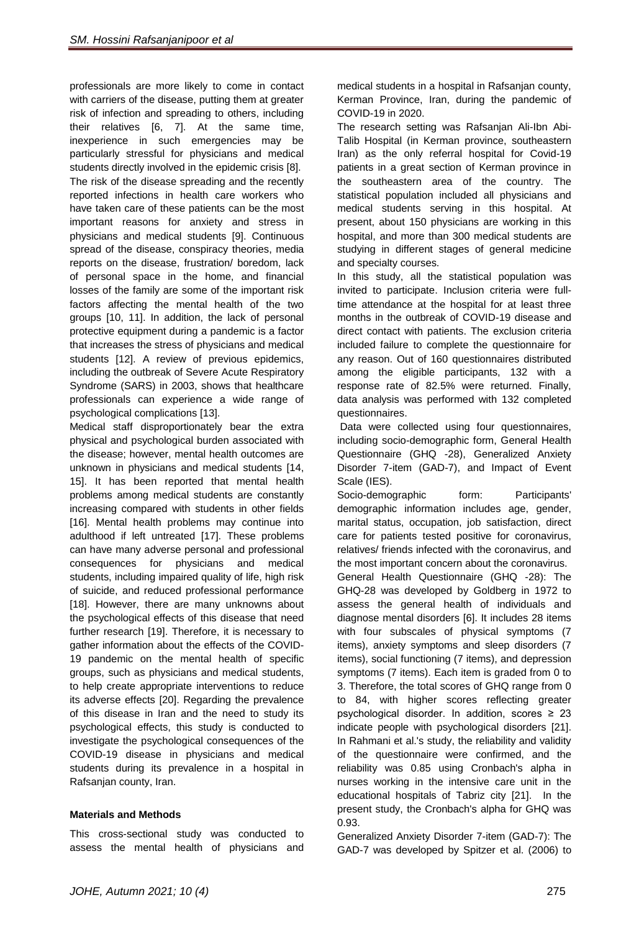professionals are more likely to come in contact with carriers of the disease, putting them at greater risk of infection and spreading to others, including their relatives [\[6,](#page-5-5) [7\]](#page-6-0). At the same time, inexperience in such emergencies may be particularly stressful for physicians and medical students directly involved in the epidemic crisis [\[8\]](#page-6-1). The risk of the disease spreading and the recently reported infections in health care workers who have taken care of these patients can be the most important reasons for anxiety and stress in physicians and medical students [\[9\]](#page-6-2). Continuous spread of the disease, conspiracy theories, media reports on the disease, frustration/ boredom, lack of personal space in the home, and financial losses of the family are some of the important risk factors affecting the mental health of the two groups [\[10,](#page-6-3) [11\]](#page-6-4). In addition, the lack of personal protective equipment during a pandemic is a factor that increases the stress of physicians and medical students [\[12\]](#page-6-5). A review of previous epidemics, including the outbreak of Severe Acute Respiratory Syndrome (SARS) in 2003, shows that healthcare professionals can experience a wide range of psychological complications [\[13\]](#page-6-6).

Medical staff disproportionately bear the extra physical and psychological burden associated with the disease; however, mental health outcomes are unknown in physicians and medical students [\[14,](#page-6-7) [15\]](#page-6-8). It has been reported that mental health problems among medical students are constantly increasing compared with students in other fields [\[16\]](#page-6-9). Mental health problems may continue into adulthood if left untreated [\[17\]](#page-6-10). These problems can have many adverse personal and professional consequences for physicians and medical students, including impaired quality of life, high risk of suicide, and reduced professional performance [\[18\]](#page-6-11). However, there are many unknowns about the psychological effects of this disease that need further research [\[19\]](#page-6-12). Therefore, it is necessary to gather information about the effects of the COVID-19 pandemic on the mental health of specific groups, such as physicians and medical students, to help create appropriate interventions to reduce its adverse effects [\[20\]](#page-6-13). Regarding the prevalence of this disease in Iran and the need to study its psychological effects, this study is conducted to investigate the psychological consequences of the COVID-19 disease in physicians and medical students during its prevalence in a hospital in Rafsanjan county, Iran.

## **Materials and Methods**

This cross-sectional study was conducted to assess the mental health of physicians and

medical students in a hospital in Rafsanjan county, Kerman Province, Iran, during the pandemic of COVID-19 in 2020.

The research setting was Rafsanjan Ali-Ibn Abi-Talib Hospital (in Kerman province, southeastern Iran) as the only referral hospital for Covid-19 patients in a great section of Kerman province in the southeastern area of the country. The statistical population included all physicians and medical students serving in this hospital. At present, about 150 physicians are working in this hospital, and more than 300 medical students are studying in different stages of general medicine and specialty courses.

In this study, all the statistical population was invited to participate. Inclusion criteria were fulltime attendance at the hospital for at least three months in the outbreak of COVID-19 disease and direct contact with patients. The exclusion criteria included failure to complete the questionnaire for any reason. Out of 160 questionnaires distributed among the eligible participants, 132 with a response rate of 82.5% were returned. Finally, data analysis was performed with 132 completed questionnaires.

Data were collected using four questionnaires, including socio-demographic form, General Health Questionnaire (GHQ -28), Generalized Anxiety Disorder 7-item (GAD-7), and Impact of Event Scale (IES).

Socio-demographic form: Participants' demographic information includes age, gender, marital status, occupation, job satisfaction, direct care for patients tested positive for coronavirus, relatives/ friends infected with the coronavirus, and the most important concern about the coronavirus. General Health Questionnaire (GHQ -28): The GHQ-28 was developed by Goldberg in 1972 to assess the general health of individuals and diagnose mental disorders [\[6\]](#page-5-5). It includes 28 items with four subscales of physical symptoms (7 items), anxiety symptoms and sleep disorders (7 items), social functioning (7 items), and depression symptoms (7 items). Each item is graded from 0 to 3. Therefore, the total scores of GHQ range from 0 to 84, with higher scores reflecting greater psychological disorder. In addition, scores  $\geq 23$ indicate people with psychological disorders [\[21\]](#page-6-14). In Rahmani et al.'s study, the reliability and validity of the questionnaire were confirmed, and the reliability was 0.85 using Cronbach's alpha in nurses working in the intensive care unit in the educational hospitals of Tabriz city [\[21\]](#page-6-14). In the present study, the Cronbach's alpha for GHQ was 0.93.

Generalized Anxiety Disorder 7-item (GAD-7): The GAD-7 was developed by Spitzer et al. (2006) to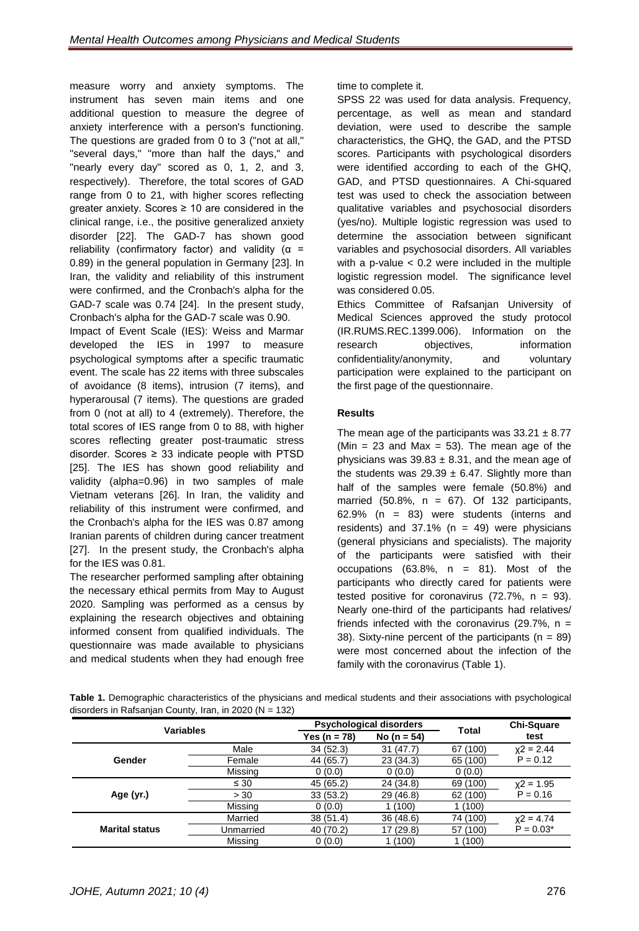measure worry and anxiety symptoms. The instrument has seven main items and one additional question to measure the degree of anxiety interference with a person's functioning. The questions are graded from 0 to 3 ("not at all," "several days," "more than half the days," and "nearly every day" scored as 0, 1, 2, and 3, respectively). Therefore, the total scores of GAD range from 0 to 21, with higher scores reflecting greater anxiety. Scores  $\geq 10$  are considered in the clinical range, i.e., the positive generalized anxiety disorder [\[22\]](#page-6-15). The GAD-7 has shown good reliability (confirmatory factor) and validity ( $\alpha$  = 0.89) in the general population in Germany [\[23\]](#page-6-16). In Iran, the validity and reliability of this instrument were confirmed, and the Cronbach's alpha for the GAD-7 scale was 0.74 [\[24\]](#page-6-17). In the present study, Cronbach's alpha for the GAD-7 scale was 0.90.

Impact of Event Scale (IES): Weiss and Marmar developed the IES in 1997 to measure psychological symptoms after a specific traumatic event. The scale has 22 items with three subscales of avoidance (8 items), intrusion (7 items), and hyperarousal (7 items). The questions are graded from 0 (not at all) to 4 (extremely). Therefore, the total scores of IES range from 0 to 88, with higher scores reflecting greater post-traumatic stress disorder. Scores  $\geq$  33 indicate people with PTSD [\[25\]](#page-6-18). The IES has shown good reliability and validity (alpha=0.96) in two samples of male Vietnam veterans [\[26\]](#page-6-19). In Iran, the validity and reliability of this instrument were confirmed, and the Cronbach's alpha for the IES was 0.87 among Iranian parents of children during cancer treatment [\[27\]](#page-6-20). In the present study, the Cronbach's alpha for the IES was 0.81.

The researcher performed sampling after obtaining the necessary ethical permits from May to August 2020. Sampling was performed as a census by explaining the research objectives and obtaining informed consent from qualified individuals. The questionnaire was made available to physicians and medical students when they had enough free time to complete it.

SPSS 22 was used for data analysis. Frequency, percentage, as well as mean and standard deviation, were used to describe the sample characteristics, the GHQ, the GAD, and the PTSD scores. Participants with psychological disorders were identified according to each of the GHQ, GAD, and PTSD questionnaires. A Chi-squared test was used to check the association between qualitative variables and psychosocial disorders (yes/no). Multiple logistic regression was used to determine the association between significant variables and psychosocial disorders. All variables with a p-value  $< 0.2$  were included in the multiple logistic regression model. The significance level was considered 0.05.

Ethics Committee of Rafsanjan University of Medical Sciences approved the study protocol (IR.RUMS.REC.1399.006). Information on the research objectives, information confidentiality/anonymity, and voluntary participation were explained to the participant on the first page of the questionnaire.

## **Results**

The mean age of the participants was  $33.21 \pm 8.77$ (Min = 23 and Max = 53). The mean age of the physicians was  $39.83 \pm 8.31$ , and the mean age of the students was  $29.39 \pm 6.47$ . Slightly more than half of the samples were female (50.8%) and married  $(50.8\% , n = 67)$ . Of 132 participants, 62.9% (n = 83) were students (interns and residents) and  $37.1\%$  (n = 49) were physicians (general physicians and specialists). The majority of the participants were satisfied with their occupations  $(63.8\%, n = 81)$ . Most of the participants who directly cared for patients were tested positive for coronavirus  $(72.7\% , n = 93)$ . Nearly one-third of the participants had relatives/ friends infected with the coronavirus (29.7%,  $n =$ 38). Sixty-nine percent of the participants ( $n = 89$ ) were most concerned about the infection of the family with the coronavirus (Table 1).

**Table 1.** Demographic characteristics of the physicians and medical students and their associations with psychological disorders in Rafsanjan County, Iran, in 2020 ( $N = 132$ )

| <b>Variables</b>      |           |              | <b>Psychological disorders</b> | <b>Total</b> | <b>Chi-Square</b> |
|-----------------------|-----------|--------------|--------------------------------|--------------|-------------------|
|                       |           | Yes (n = 78) | No ( $n = 54$ )                |              | test              |
| Gender                | Male      | 34(52.3)     | 31(47.7)                       | 67 (100)     | $x^2 = 2.44$      |
|                       | Female    | 44 (65.7)    | 23(34.3)                       | 65 (100)     | $P = 0.12$        |
|                       | Missing   | 0(0.0)       | 0(0.0)                         | 0(0.0)       |                   |
|                       | $\leq 30$ | 45 (65.2)    | 24 (34.8)                      | 69 (100)     | $x^2 = 1.95$      |
| Age (yr.)             | > 30      | 33(53.2)     | 29 (46.8)                      | 62 (100)     | $P = 0.16$        |
|                       | Missing   | 0(0.0)       | 1(100)                         | 1 (100)      |                   |
| <b>Marital status</b> | Married   | 38(51.4)     | 36 (48.6)                      | 74 (100)     | $x^2 = 4.74$      |
|                       | Unmarried | 40 (70.2)    | 17 (29.8)                      | 57 (100)     | $P = 0.03*$       |
|                       | Missing   | 0(0.0)       | 1(100)                         | 1 (100)      |                   |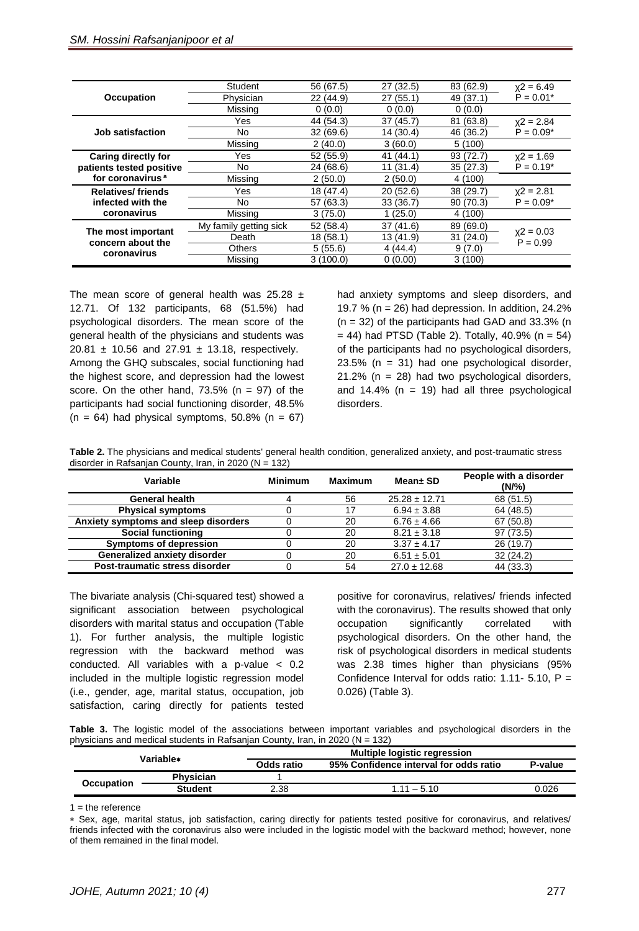| <b>Occupation</b>                                                                      | Student                | 56 (67.5) | 27(32.5)  | 83 (62.9) | $x^2 = 6.49$               |
|----------------------------------------------------------------------------------------|------------------------|-----------|-----------|-----------|----------------------------|
|                                                                                        | Physician              | 22 (44.9) | 27(55.1)  | 49 (37.1) | $P = 0.01*$                |
|                                                                                        | Missing                | 0(0.0)    | 0(0.0)    | 0(0.0)    |                            |
| <b>Job satisfaction</b>                                                                | Yes                    | 44 (54.3) | 37(45.7)  | 81 (63.8) | $x^2 = 2.84$               |
|                                                                                        | No.                    | 32(69.6)  | 14 (30.4) | 46 (36.2) | $P = 0.09*$                |
|                                                                                        | Missing                | 2(40.0)   | 3(60.0)   | 5(100)    |                            |
| <b>Caring directly for</b><br>patients tested positive<br>for coronavirus <sup>a</sup> | Yes                    | 52 (55.9) | 41(44.1)  | 93(72.7)  | $x^2 = 1.69$               |
|                                                                                        | No.                    | 24 (68.6) | 11(31.4)  | 35(27.3)  | $P = 0.19*$                |
|                                                                                        | Missing                | 2(50.0)   | 2(50.0)   | 4 (100)   |                            |
| <b>Relatives/friends</b><br>infected with the<br>coronavirus                           | Yes                    | 18 (47.4) | 20(52.6)  | 38(29.7)  | $x^2 = 2.81$               |
|                                                                                        | No                     | 57 (63.3) | 33(36.7)  | 90(70.3)  | $P = 0.09*$                |
|                                                                                        | Missing                | 3(75.0)   | 1(25.0)   | 4 (100)   |                            |
| The most important<br>concern about the<br>coronavirus                                 | My family getting sick | 52(58.4)  | 37(41.6)  | 89 (69.0) |                            |
|                                                                                        | Death                  | 18(58.1)  | 13 (41.9) | 31(24.0)  | $x^2 = 0.03$<br>$P = 0.99$ |
|                                                                                        | Others                 | 5(55.6)   | 4(44.4)   | 9(7.0)    |                            |
|                                                                                        | Missing                | 3(100.0)  | 0(0.00)   | 3(100)    |                            |
|                                                                                        |                        |           |           |           |                            |

The mean score of general health was  $25.28 \pm$ 12.71. Of 132 participants, 68 (51.5%) had psychological disorders. The mean score of the general health of the physicians and students was 20.81  $\pm$  10.56 and 27.91  $\pm$  13.18, respectively. Among the GHQ subscales, social functioning had the highest score, and depression had the lowest score. On the other hand,  $73.5\%$  (n = 97) of the participants had social functioning disorder, 48.5%  $(n = 64)$  had physical symptoms, 50.8%  $(n = 67)$  had anxiety symptoms and sleep disorders, and 19.7 % ( $n = 26$ ) had depression. In addition, 24.2%  $(n = 32)$  of the participants had GAD and 33.3% (n  $= 44$ ) had PTSD (Table 2). Totally, 40.9% (n  $= 54$ ) of the participants had no psychological disorders,  $23.5\%$  (n = 31) had one psychological disorder, 21.2% (n = 28) had two psychological disorders, and  $14.4\%$  (n = 19) had all three psychological disorders.

**Table 2.** The physicians and medical students' general health condition, generalized anxiety, and post-traumatic stress disorder in Rafsanjan County, Iran, in 2020 (N = 132)

| Variable                             | <b>Minimum</b> | Maximum | Mean± SD          | People with a disorder<br>$(N\frac{9}{6})$ |
|--------------------------------------|----------------|---------|-------------------|--------------------------------------------|
| <b>General health</b>                | 4              | 56      | $25.28 \pm 12.71$ | 68 (51.5)                                  |
| <b>Physical symptoms</b>             |                |         | $6.94 \pm 3.88$   | 64 (48.5)                                  |
| Anxiety symptoms and sleep disorders |                | 20      | $6.76 \pm 4.66$   | 67(50.8)                                   |
| <b>Social functioning</b>            |                | 20      | $8.21 \pm 3.18$   | 97 (73.5)                                  |
| <b>Symptoms of depression</b>        |                | 20      | $3.37 \pm 4.17$   | 26(19.7)                                   |
| <b>Generalized anxiety disorder</b>  |                | 20      | $6.51 \pm 5.01$   | 32(24.2)                                   |
| Post-traumatic stress disorder       |                | 54      | $27.0 \pm 12.68$  | 44 (33.3)                                  |

The bivariate analysis (Chi-squared test) showed a significant association between psychological disorders with marital status and occupation (Table 1). For further analysis, the multiple logistic regression with the backward method was conducted. All variables with a p-value < 0.2 included in the multiple logistic regression model (i.e., gender, age, marital status, occupation, job satisfaction, caring directly for patients tested positive for coronavirus, relatives/ friends infected with the coronavirus). The results showed that only occupation significantly correlated with psychological disorders. On the other hand, the risk of psychological disorders in medical students was 2.38 times higher than physicians (95% Confidence Interval for odds ratio: 1.11- 5.10,  $P =$ 0.026) (Table 3).

**Table 3.** The logistic model of the associations between important variables and psychological disorders in the physicians and medical students in Rafsanjan County, Iran, in 2020 (N = 132)

| Variable*         |                  |            | <b>Multiple logistic regression</b>    |         |  |  |  |
|-------------------|------------------|------------|----------------------------------------|---------|--|--|--|
|                   |                  | Odds ratio | 95% Confidence interval for odds ratio | P-value |  |  |  |
| <b>Occupation</b> | <b>Physician</b> |            |                                        |         |  |  |  |
|                   | <b>Student</b>   | 2.38       | $111 - 510$                            | 0.026   |  |  |  |

 $1 =$  the reference

Sex, age, marital status, job satisfaction, caring directly for patients tested positive for coronavirus, and relatives/ friends infected with the coronavirus also were included in the logistic model with the backward method; however, none of them remained in the final model.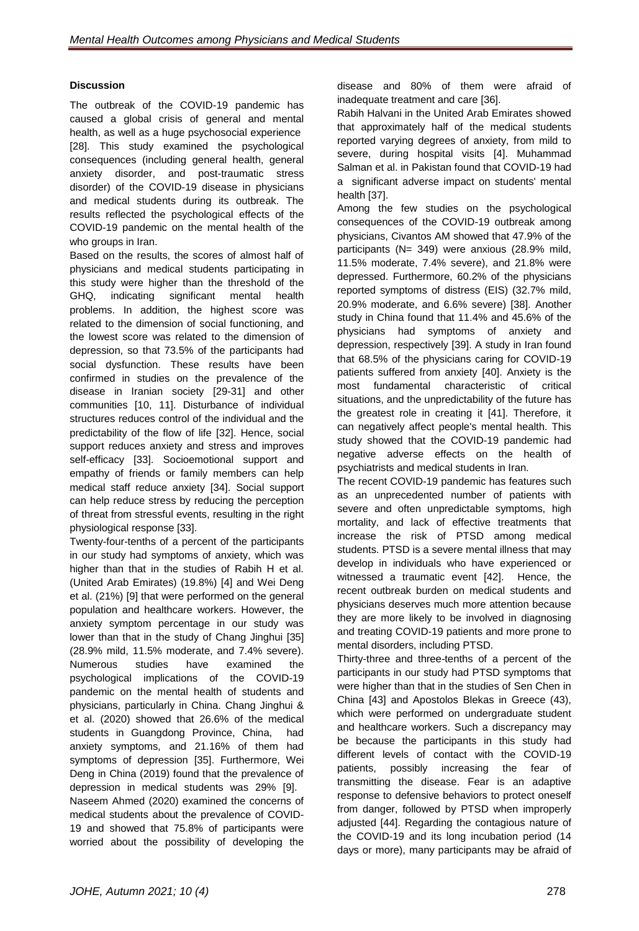# **Discussion**

The outbreak of the COVID-19 pandemic has caused a global crisis of general and mental health, as well as a huge psychosocial experience [\[28\]](#page-6-21). This study examined the psychological consequences (including general health, general anxiety disorder, and post-traumatic stress disorder) of the COVID-19 disease in physicians and medical students during its outbreak. The results reflected the psychological effects of the COVID-19 pandemic on the mental health of the who groups in Iran.

Based on the results, the scores of almost half of physicians and medical students participating in this study were higher than the threshold of the GHQ, indicating significant mental health problems. In addition, the highest score was related to the dimension of social functioning, and the lowest score was related to the dimension of depression, so that 73.5% of the participants had social dysfunction. These results have been confirmed in studies on the prevalence of the disease in Iranian society [\[29-31\]](#page-6-22) and other communities [\[10,](#page-6-3) [11\]](#page-6-4). Disturbance of individual structures reduces control of the individual and the predictability of the flow of life [\[32\]](#page-7-0). Hence, social support reduces anxiety and stress and improves self-efficacy [\[33\]](#page-7-1). Socioemotional support and empathy of friends or family members can help medical staff reduce anxiety [\[34\]](#page-7-2). Social support can help reduce stress by reducing the perception of threat from stressful events, resulting in the right physiological response [\[33\]](#page-7-1).

Twenty-four-tenths of a percent of the participants in our study had symptoms of anxiety, which was higher than that in the studies of Rabih H et al. (United Arab Emirates) (19.8%) [\[4\]](#page-5-3) and Wei Deng et al. (21%) [\[9\]](#page-6-2) that were performed on the general population and healthcare workers. However, the anxiety symptom percentage in our study was lower than that in the study of Chang Jinghui [\[35\]](#page-7-3) (28.9% mild, 11.5% moderate, and 7.4% severe). Numerous studies have examined the psychological implications of the COVID-19 pandemic on the mental health of students and physicians, particularly in China. Chang Jinghui & et al. (2020) showed that 26.6% of the medical students in Guangdong Province, China, had anxiety symptoms, and 21.16% of them had symptoms of depression [\[35\]](#page-7-3). Furthermore, Wei Deng in China (2019) found that the prevalence of depression in medical students was 29% [\[9\]](#page-6-2). Naseem Ahmed (2020) examined the concerns of medical students about the prevalence of COVID-19 and showed that 75.8% of participants were worried about the possibility of developing the disease and 80% of them were afraid of inadequate treatment and care [\[36\]](#page-7-4).

Rabih Halvani in the United Arab Emirates showed that approximately half of the medical students reported varying degrees of anxiety, from mild to severe, during hospital visits [\[4\]](#page-5-3). Muhammad Salman et al. in Pakistan found that COVID-19 had a significant adverse impact on students' mental health [\[37\]](#page-7-5).

Among the few studies on the psychological consequences of the COVID-19 outbreak among physicians, Civantos AM showed that 47.9% of the participants (N= 349) were anxious (28.9% mild, 11.5% moderate, 7.4% severe), and 21.8% were depressed. Furthermore, 60.2% of the physicians reported symptoms of distress (EIS) (32.7% mild, 20.9% moderate, and 6.6% severe) [\[38\]](#page-7-6). Another study in China found that 11.4% and 45.6% of the physicians had symptoms of anxiety and depression, respectively [\[39\]](#page-7-7). A study in Iran found that 68.5% of the physicians caring for COVID-19 patients suffered from anxiety [\[40\]](#page-7-8). Anxiety is the most fundamental characteristic of critical situations, and the unpredictability of the future has the greatest role in creating it [\[41\]](#page-7-9). Therefore, it can negatively affect people's mental health. This study showed that the COVID-19 pandemic had negative adverse effects on the health of psychiatrists and medical students in Iran.

The recent COVID-19 pandemic has features such as an unprecedented number of patients with severe and often unpredictable symptoms, high mortality, and lack of effective treatments that increase the risk of PTSD among medical students. PTSD is a severe mental illness that may develop in individuals who have experienced or witnessed a traumatic event [\[42\]](#page-7-10). Hence, the recent outbreak burden on medical students and physicians deserves much more attention because they are more likely to be involved in diagnosing and treating COVID-19 patients and more prone to mental disorders, including PTSD.

Thirty-three and three-tenths of a percent of the participants in our study had PTSD symptoms that were higher than that in the studies of Sen Chen in China [\[43\]](#page-7-11) and Apostolos Blekas in Greece (43), which were performed on undergraduate student and healthcare workers. Such a discrepancy may be because the participants in this study had different levels of contact with the COVID-19 patients, possibly increasing the fear of transmitting the disease. Fear is an adaptive response to defensive behaviors to protect oneself from danger, followed by PTSD when improperly adjusted [\[44\]](#page-7-12). Regarding the contagious nature of the COVID-19 and its long incubation period (14 days or more), many participants may be afraid of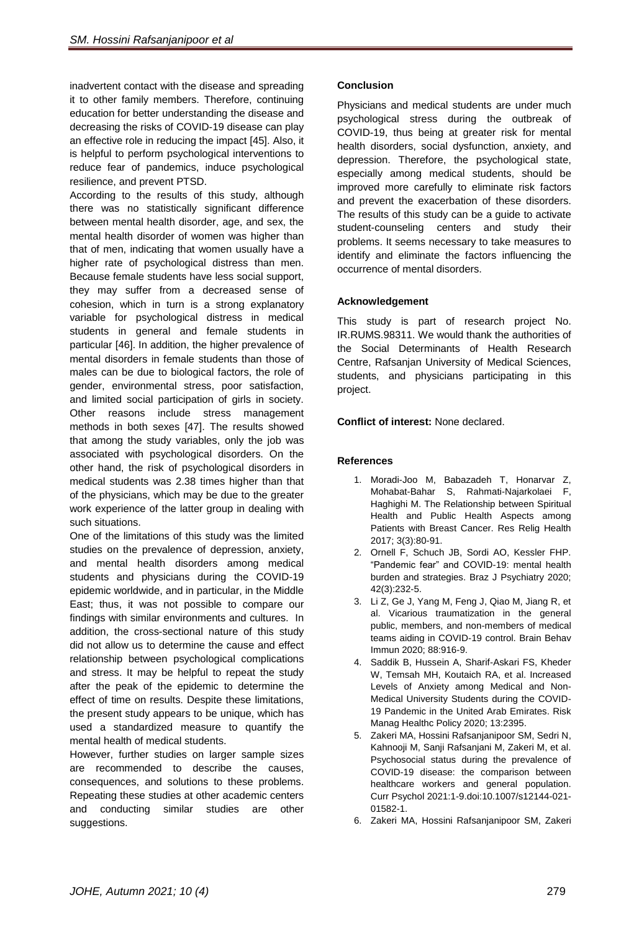inadvertent contact with the disease and spreading it to other family members. Therefore, continuing education for better understanding the disease and decreasing the risks of COVID-19 disease can play an effective role in reducing the impact [\[45\]](#page-7-13). Also, it is helpful to perform psychological interventions to reduce fear of pandemics, induce psychological resilience, and prevent PTSD.

According to the results of this study, although there was no statistically significant difference between mental health disorder, age, and sex, the mental health disorder of women was higher than that of men, indicating that women usually have a higher rate of psychological distress than men. Because female students have less social support, they may suffer from a decreased sense of cohesion, which in turn is a strong explanatory variable for psychological distress in medical students in general and female students in particular [\[46\]](#page-7-14). In addition, the higher prevalence of mental disorders in female students than those of males can be due to biological factors, the role of gender, environmental stress, poor satisfaction, and limited social participation of girls in society. Other reasons include stress management methods in both sexes [\[47\]](#page-7-15). The results showed that among the study variables, only the job was associated with psychological disorders. On the other hand, the risk of psychological disorders in medical students was 2.38 times higher than that of the physicians, which may be due to the greater work experience of the latter group in dealing with such situations.

One of the limitations of this study was the limited studies on the prevalence of depression, anxiety, and mental health disorders among medical students and physicians during the COVID-19 epidemic worldwide, and in particular, in the Middle East; thus, it was not possible to compare our findings with similar environments and cultures. In addition, the cross-sectional nature of this study did not allow us to determine the cause and effect relationship between psychological complications and stress. It may be helpful to repeat the study after the peak of the epidemic to determine the effect of time on results. Despite these limitations, the present study appears to be unique, which has used a standardized measure to quantify the mental health of medical students.

However, further studies on larger sample sizes are recommended to describe the causes, consequences, and solutions to these problems. Repeating these studies at other academic centers and conducting similar studies are other suggestions.

## **Conclusion**

Physicians and medical students are under much psychological stress during the outbreak of COVID-19, thus being at greater risk for mental health disorders, social dysfunction, anxiety, and depression. Therefore, the psychological state, especially among medical students, should be improved more carefully to eliminate risk factors and prevent the exacerbation of these disorders. The results of this study can be a guide to activate student-counseling centers and study their problems. It seems necessary to take measures to identify and eliminate the factors influencing the occurrence of mental disorders.

## **Acknowledgement**

This study is part of research project No. IR.RUMS.98311. We would thank the authorities of the Social Determinants of Health Research Centre, Rafsanjan University of Medical Sciences, students, and physicians participating in this project.

#### **Conflict of interest:** None declared.

#### **References**

- <span id="page-5-0"></span>1. Moradi-Joo M, Babazadeh T, Honarvar Z, Mohabat-Bahar S, Rahmati-Najarkolaei F, Haghighi M. The Relationship between Spiritual Health and Public Health Aspects among Patients with Breast Cancer. Res Relig Health 2017; 3(3):80-91.
- <span id="page-5-1"></span>2. Ornell F, Schuch JB, Sordi AO, Kessler FHP. "Pandemic fear" and COVID-19: mental health burden and strategies. Braz J Psychiatry 2020; 42(3):232-5.
- <span id="page-5-2"></span>3. Li Z, Ge J, Yang M, Feng J, Qiao M, Jiang R, et al. Vicarious traumatization in the general public, members, and non-members of medical teams aiding in COVID-19 control. Brain Behav Immun 2020; 88:916-9.
- <span id="page-5-3"></span>4. Saddik B, Hussein A, Sharif-Askari FS, Kheder W, Temsah MH, Koutaich RA, et al. Increased Levels of Anxiety among Medical and Non-Medical University Students during the COVID-19 Pandemic in the United Arab Emirates. Risk Manag Healthc Policy 2020; 13:2395.
- <span id="page-5-4"></span>5. Zakeri MA, Hossini Rafsanjanipoor SM, Sedri N, Kahnooji M, Sanji Rafsanjani M, Zakeri M, et al. Psychosocial status during the prevalence of COVID-19 disease: the comparison between healthcare workers and general population. Curr Psychol 2021:1-9.doi:10.1007/s12144-021- 01582-1.
- <span id="page-5-5"></span>6. Zakeri MA, Hossini Rafsanjanipoor SM, Zakeri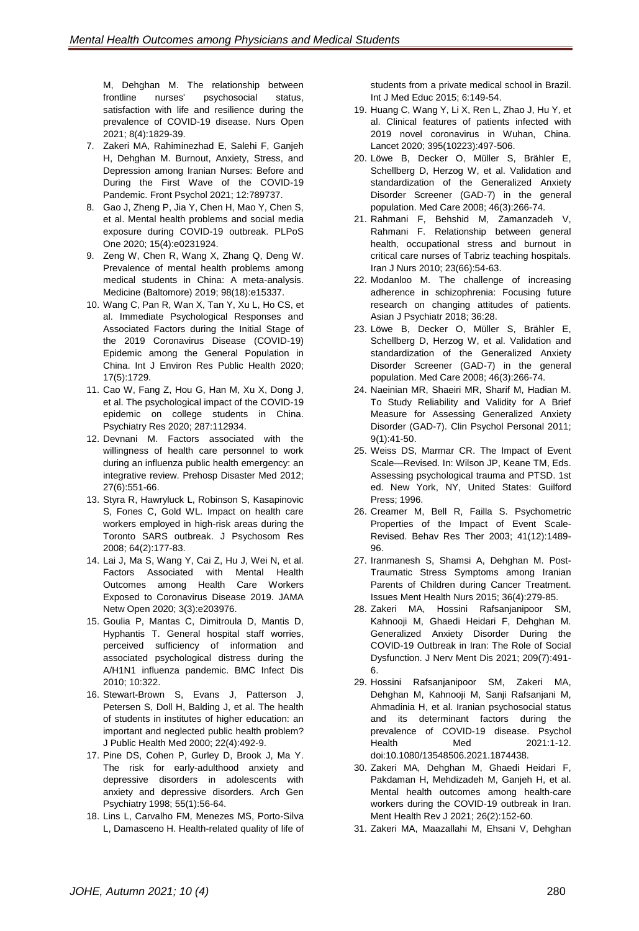M, Dehghan M. The relationship between<br>frontline nurses' psychosocial status. frontline nurses' psychosocial status, satisfaction with life and resilience during the prevalence of COVID-19 disease. Nurs Open 2021; 8(4):1829-39.

- <span id="page-6-0"></span>7. Zakeri MA, Rahiminezhad E, Salehi F, Ganjeh H, Dehghan M. Burnout, Anxiety, Stress, and Depression among Iranian Nurses: Before and During the First Wave of the COVID-19 Pandemic. Front Psychol 2021; 12:789737.
- <span id="page-6-1"></span>8. Gao J, Zheng P, Jia Y, Chen H, Mao Y, Chen S, et al. Mental health problems and social media exposure during COVID-19 outbreak. PLPoS One 2020; 15(4):e0231924.
- <span id="page-6-2"></span>9. Zeng W, Chen R, Wang X, Zhang Q, Deng W. Prevalence of mental health problems among medical students in China: A meta-analysis. Medicine (Baltomore) 2019; 98(18):e15337.
- <span id="page-6-3"></span>10. Wang C, Pan R, Wan X, Tan Y, Xu L, Ho CS, et al. Immediate Psychological Responses and Associated Factors during the Initial Stage of the 2019 Coronavirus Disease (COVID-19) Epidemic among the General Population in China. Int J Environ Res Public Health 2020; 17(5):1729.
- <span id="page-6-4"></span>11. Cao W, Fang Z, Hou G, Han M, Xu X, Dong J, et al. The psychological impact of the COVID-19 epidemic on college students in China. Psychiatry Res 2020; 287:112934.
- <span id="page-6-5"></span>12. Devnani M. Factors associated with the willingness of health care personnel to work during an influenza public health emergency: an integrative review. Prehosp Disaster Med 2012; 27(6):551-66.
- <span id="page-6-6"></span>13. Styra R, Hawryluck L, Robinson S, Kasapinovic S, Fones C, Gold WL. Impact on health care workers employed in high-risk areas during the Toronto SARS outbreak. J Psychosom Res 2008; 64(2):177-83.
- <span id="page-6-7"></span>14. Lai J, Ma S, Wang Y, Cai Z, Hu J, Wei N, et al. Factors Associated with Mental Health Outcomes among Health Care Workers Exposed to Coronavirus Disease 2019. JAMA Netw Open 2020; 3(3):e203976.
- <span id="page-6-8"></span>15. Goulia P, Mantas C, Dimitroula D, Mantis D, Hyphantis T. General hospital staff worries, perceived sufficiency of information and associated psychological distress during the A/H1N1 influenza pandemic. BMC Infect Dis 2010; 10:322.
- <span id="page-6-9"></span>16. Stewart-Brown S, Evans J, Patterson J, Petersen S, Doll H, Balding J, et al. The health of students in institutes of higher education: an important and neglected public health problem? J Public Health Med 2000; 22(4):492-9.
- <span id="page-6-10"></span>17. Pine DS, Cohen P, Gurley D, Brook J, Ma Y. The risk for early-adulthood anxiety and depressive disorders in adolescents with anxiety and depressive disorders. Arch Gen Psychiatry 1998; 55(1):56-64.
- <span id="page-6-11"></span>18. Lins L, Carvalho FM, Menezes MS, Porto-Silva L, Damasceno H. Health-related quality of life of

students from a private medical school in Brazil. Int J Med Educ 2015; 6:149-54.

- <span id="page-6-12"></span>19. Huang C, Wang Y, Li X, Ren L, Zhao J, Hu Y, et al. Clinical features of patients infected with 2019 novel coronavirus in Wuhan, China. Lancet 2020; 395(10223):497-506.
- <span id="page-6-13"></span>20. Löwe B, Decker O, Müller S, Brähler E, Schellberg D, Herzog W, et al. Validation and standardization of the Generalized Anxiety Disorder Screener (GAD-7) in the general population. Med Care 2008; 46(3):266-74.
- <span id="page-6-14"></span>21. Rahmani F, Behshid M, Zamanzadeh V, Rahmani F. Relationship between general health, occupational stress and burnout in critical care nurses of Tabriz teaching hospitals. Iran J Nurs 2010; 23(66):54-63.
- <span id="page-6-15"></span>22. Modanloo M. The challenge of increasing adherence in schizophrenia: Focusing future research on changing attitudes of patients. Asian J Psychiatr 2018; 36:28.
- <span id="page-6-16"></span>23. Löwe B, Decker O, Müller S, Brähler E, Schellberg D, Herzog W, et al. Validation and standardization of the Generalized Anxiety Disorder Screener (GAD-7) in the general population. Med Care 2008; 46(3):266-74.
- <span id="page-6-17"></span>24. Naeinian MR, Shaeiri MR, Sharif M, Hadian M. To Study Reliability and Validity for A Brief Measure for Assessing Generalized Anxiety Disorder (GAD-7). Clin Psychol Personal 2011; 9(1):41-50.
- <span id="page-6-18"></span>25. Weiss DS, Marmar CR. The Impact of Event Scale—Revised. In: Wilson JP, Keane TM, Eds. Assessing psychological trauma and PTSD. 1st ed. New York, NY, [United States:](https://www.google.com/search?sxsrf=AOaemvJ03oDaGYlsNFcxjHm65glDa2kGCA:1639377403739&q=New+York&stick=H4sIAAAAAAAAAOPgE-LSz9U3MIsvKUopUuIEsY3ijSzMtLSyk63084vSE_MyqxJLMvPzUDhWGamJKYWliUUlqUXFi1g5_FLLFSLzi7J3sDICAIOWvABTAAAA&sa=X&ved=2ahUKEwi1q7XelOD0AhWHMBQKHbobAnIQmxMoAXoECCgQAw) Guilford Press; 1996.
- <span id="page-6-19"></span>26. Creamer M, Bell R, Failla S. Psychometric Properties of the Impact of Event Scale-Revised. Behav Res Ther 2003; 41(12):1489- 96.
- <span id="page-6-20"></span>27. Iranmanesh S, Shamsi A, Dehghan M. Post-Traumatic Stress Symptoms among Iranian Parents of Children during Cancer Treatment. Issues Ment Health Nurs 2015; 36(4):279-85.
- <span id="page-6-21"></span>28. Zakeri MA, Hossini Rafsanjanipoor SM, Kahnooji M, Ghaedi Heidari F, Dehghan M. Generalized Anxiety Disorder During the COVID-19 Outbreak in Iran: The Role of Social Dysfunction. J Nerv Ment Dis 2021; 209(7):491- 6.
- <span id="page-6-22"></span>29. Hossini Rafsanjanipoor SM, Zakeri MA, Dehghan M, Kahnooji M, Sanji Rafsanjani M, Ahmadinia H, et al. Iranian psychosocial status and its determinant factors during the prevalence of COVID-19 disease. Psychol Health Med 2021:1-12. doi:10.1080/13548506.2021.1874438.
- 30. Zakeri MA, Dehghan M, Ghaedi Heidari F, Pakdaman H, Mehdizadeh M, Ganjeh H, et al. Mental health outcomes among health-care workers during the COVID-19 outbreak in Iran. Ment Health Rev J 2021; 26(2):152-60.
- 31. Zakeri MA, Maazallahi M, Ehsani V, Dehghan